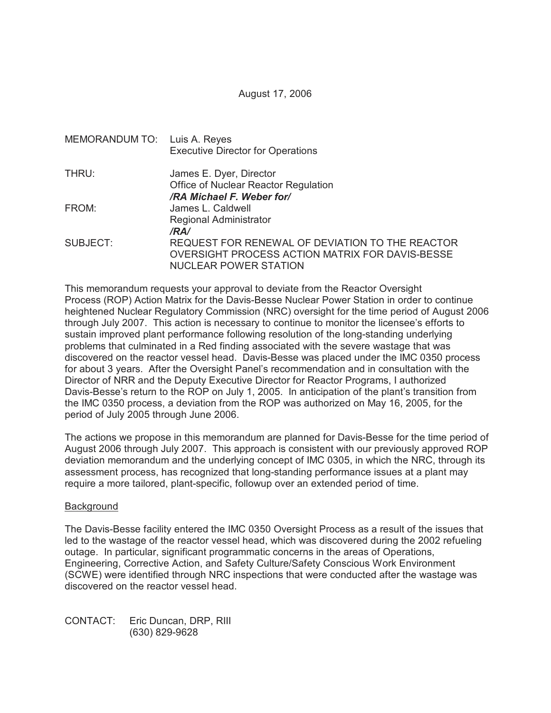August 17, 2006

| MEMORANDUM TO: Luis A. Reyes | <b>Executive Director for Operations</b>                                                                                                   |
|------------------------------|--------------------------------------------------------------------------------------------------------------------------------------------|
| THRU:                        | James E. Dyer, Director<br>Office of Nuclear Reactor Regulation                                                                            |
| FROM:                        | /RA Michael F. Weber for/<br>James L. Caldwell<br>Regional Administrator                                                                   |
| SUBJECT:                     | /RA/<br>REQUEST FOR RENEWAL OF DEVIATION TO THE REACTOR<br>OVERSIGHT PROCESS ACTION MATRIX FOR DAVIS-BESSE<br><b>NUCLEAR POWER STATION</b> |

This memorandum requests your approval to deviate from the Reactor Oversight Process (ROP) Action Matrix for the Davis-Besse Nuclear Power Station in order to continue heightened Nuclear Regulatory Commission (NRC) oversight for the time period of August 2006 through July 2007. This action is necessary to continue to monitor the licensee's efforts to sustain improved plant performance following resolution of the long-standing underlying problems that culminated in a Red finding associated with the severe wastage that was discovered on the reactor vessel head. Davis-Besse was placed under the IMC 0350 process for about 3 years. After the Oversight Panel's recommendation and in consultation with the Director of NRR and the Deputy Executive Director for Reactor Programs, I authorized Davis-Besse's return to the ROP on July 1, 2005. In anticipation of the plant's transition from the IMC 0350 process, a deviation from the ROP was authorized on May 16, 2005, for the period of July 2005 through June 2006.

The actions we propose in this memorandum are planned for Davis-Besse for the time period of August 2006 through July 2007. This approach is consistent with our previously approved ROP deviation memorandum and the underlying concept of IMC 0305, in which the NRC, through its assessment process, has recognized that long-standing performance issues at a plant may require a more tailored, plant-specific, followup over an extended period of time.

## **Background**

The Davis-Besse facility entered the IMC 0350 Oversight Process as a result of the issues that led to the wastage of the reactor vessel head, which was discovered during the 2002 refueling outage. In particular, significant programmatic concerns in the areas of Operations, Engineering, Corrective Action, and Safety Culture/Safety Conscious Work Environment (SCWE) were identified through NRC inspections that were conducted after the wastage was discovered on the reactor vessel head.

CONTACT: Eric Duncan, DRP, RIII (630) 829-9628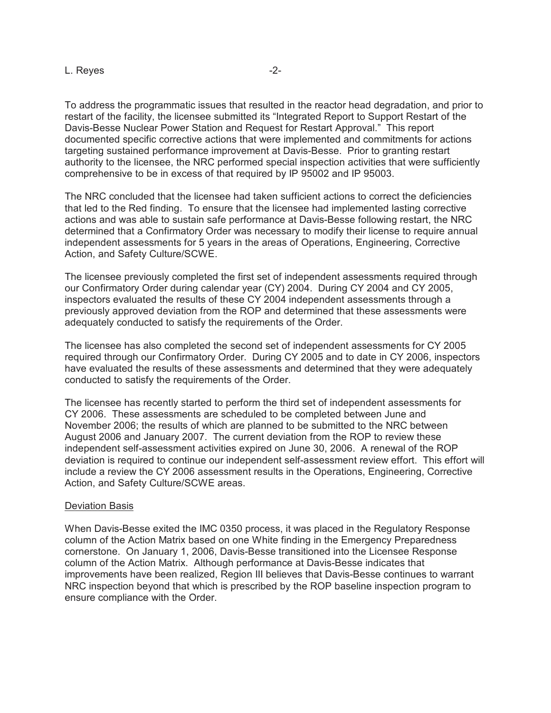To address the programmatic issues that resulted in the reactor head degradation, and prior to restart of the facility, the licensee submitted its "Integrated Report to Support Restart of the Davis-Besse Nuclear Power Station and Request for Restart Approval." This report documented specific corrective actions that were implemented and commitments for actions targeting sustained performance improvement at Davis-Besse. Prior to granting restart authority to the licensee, the NRC performed special inspection activities that were sufficiently comprehensive to be in excess of that required by IP 95002 and IP 95003.

The NRC concluded that the licensee had taken sufficient actions to correct the deficiencies that led to the Red finding. To ensure that the licensee had implemented lasting corrective actions and was able to sustain safe performance at Davis-Besse following restart, the NRC determined that a Confirmatory Order was necessary to modify their license to require annual independent assessments for 5 years in the areas of Operations, Engineering, Corrective Action, and Safety Culture/SCWE.

The licensee previously completed the first set of independent assessments required through our Confirmatory Order during calendar year (CY) 2004. During CY 2004 and CY 2005, inspectors evaluated the results of these CY 2004 independent assessments through a previously approved deviation from the ROP and determined that these assessments were adequately conducted to satisfy the requirements of the Order.

The licensee has also completed the second set of independent assessments for CY 2005 required through our Confirmatory Order. During CY 2005 and to date in CY 2006, inspectors have evaluated the results of these assessments and determined that they were adequately conducted to satisfy the requirements of the Order.

The licensee has recently started to perform the third set of independent assessments for CY 2006. These assessments are scheduled to be completed between June and November 2006; the results of which are planned to be submitted to the NRC between August 2006 and January 2007. The current deviation from the ROP to review these independent self-assessment activities expired on June 30, 2006. A renewal of the ROP deviation is required to continue our independent self-assessment review effort. This effort will include a review the CY 2006 assessment results in the Operations, Engineering, Corrective Action, and Safety Culture/SCWE areas.

## Deviation Basis

When Davis-Besse exited the IMC 0350 process, it was placed in the Regulatory Response column of the Action Matrix based on one White finding in the Emergency Preparedness cornerstone. On January 1, 2006, Davis-Besse transitioned into the Licensee Response column of the Action Matrix. Although performance at Davis-Besse indicates that improvements have been realized, Region III believes that Davis-Besse continues to warrant NRC inspection beyond that which is prescribed by the ROP baseline inspection program to ensure compliance with the Order.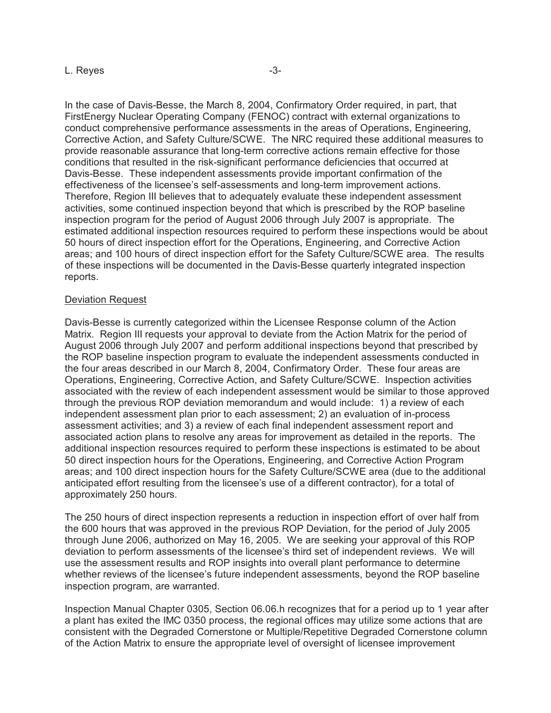In the case of Davis-Besse, the March 8, 2004, Confirmatory Order required, in part, that FirstEnergy Nuclear Operating Company (FENOC) contract with external organizations to conduct comprehensive performance assessments in the areas of Operations, Engineering, Corrective Action, and Safety Culture/SCWE. The NRC required these additional measures to provide reasonable assurance that long-term corrective actions remain effective for those conditions that resulted in the risk-significant performance deficiencies that occurred at Davis-Besse. These independent assessments provide important confirmation of the effectiveness of the licensee's self-assessments and long-term improvement actions. Therefore, Region III believes that to adequately evaluate these independent assessment activities, some continued inspection beyond that which is prescribed by the ROP baseline inspection program for the period of August 2006 through July 2007 is appropriate. The estimated additional inspection resources required to perform these inspections would be about 50 hours of direct inspection effort for the Operations, Engineering, and Corrective Action areas; and 100 hours of direct inspection effort for the Safety Culture/SCWE area. The results of these inspections will be documented in the Davis-Besse quarterly integrated inspection reports.

## Deviation Request

Davis-Besse is currently categorized within the Licensee Response column of the Action Matrix. Region III requests your approval to deviate from the Action Matrix for the period of August 2006 through July 2007 and perform additional inspections beyond that prescribed by the ROP baseline inspection program to evaluate the independent assessments conducted in the four areas described in our March 8, 2004, Confirmatory Order. These four areas are Operations, Engineering, Corrective Action, and Safety Culture/SCWE. Inspection activities associated with the review of each independent assessment would be similar to those approved through the previous ROP deviation memorandum and would include: 1) a review of each independent assessment plan prior to each assessment; 2) an evaluation of in-process assessment activities; and 3) a review of each final independent assessment report and associated action plans to resolve any areas for improvement as detailed in the reports. The additional inspection resources required to perform these inspections is estimated to be about 50 direct inspection hours for the Operations, Engineering, and Corrective Action Program areas; and 100 direct inspection hours for the Safety Culture/SCWE area (due to the additional anticipated effort resulting from the licensee's use of a different contractor), for a total of approximately 250 hours.

The 250 hours of direct inspection represents a reduction in inspection effort of over half from the 600 hours that was approved in the previous ROP Deviation, for the period of July 2005 through June 2006, authorized on May 16, 2005. We are seeking your approval of this ROP deviation to perform assessments of the licensee's third set of independent reviews. We will use the assessment results and ROP insights into overall plant performance to determine whether reviews of the licensee's future independent assessments, beyond the ROP baseline inspection program, are warranted.

Inspection Manual Chapter 0305, Section 06.06.h recognizes that for a period up to 1 year after a plant has exited the IMC 0350 process, the regional offices may utilize some actions that are consistent with the Degraded Cornerstone or Multiple/Repetitive Degraded Cornerstone column of the Action Matrix to ensure the appropriate level of oversight of licensee improvement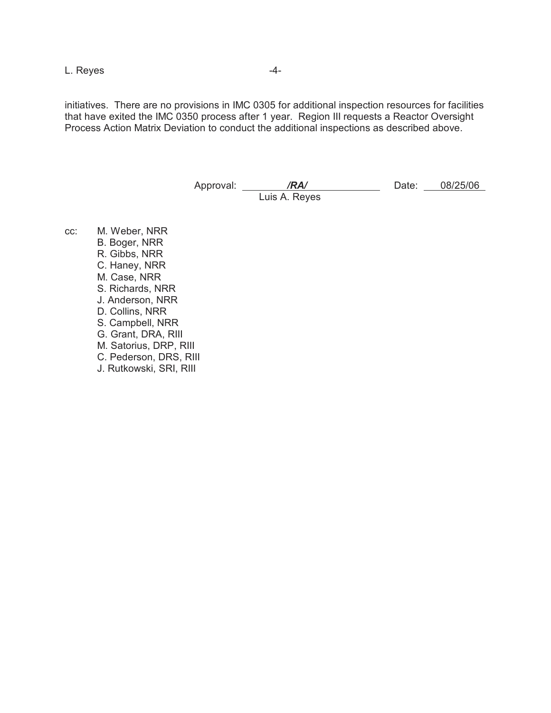L. Reyes  $-4$ -

initiatives. There are no provisions in IMC 0305 for additional inspection resources for facilities that have exited the IMC 0350 process after 1 year. Region III requests a Reactor Oversight Process Action Matrix Deviation to conduct the additional inspections as described above.

> Approval: */RA/* Date: 08/25/06 Luis A. Reyes

cc: M. Weber, NRR B. Boger, NRR R. Gibbs, NRR C. Haney, NRR M. Case, NRR S. Richards, NRR J. Anderson, NRR D. Collins, NRR S. Campbell, NRR G. Grant, DRA, RIII M. Satorius, DRP, RIII C. Pederson, DRS, RIII J. Rutkowski, SRI, RIII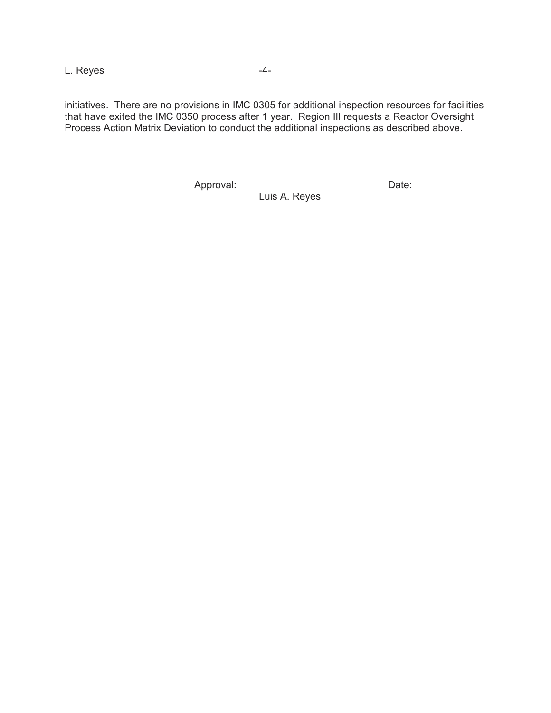L. Reyes 4-

initiatives. There are no provisions in IMC 0305 for additional inspection resources for facilities that have exited the IMC 0350 process after 1 year. Region III requests a Reactor Oversight Process Action Matrix Deviation to conduct the additional inspections as described above.

Approval: <u>Date: Approval:</u> Date:

Luis A. Reyes